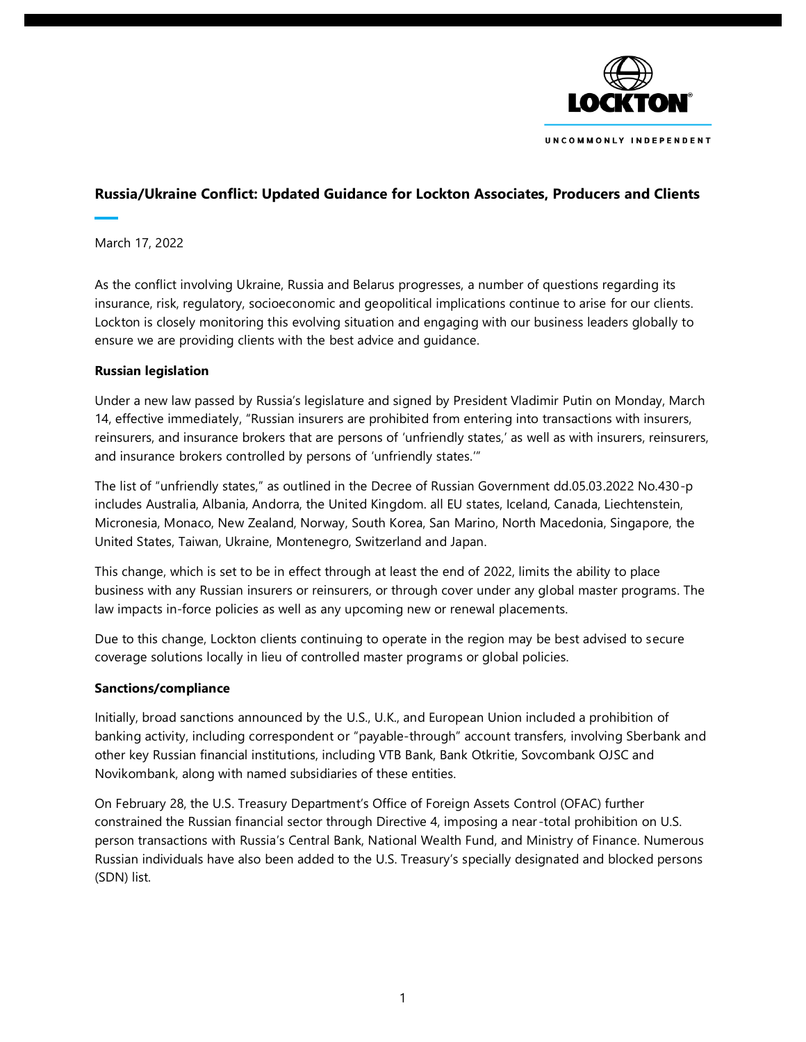

# **Russia/Ukraine Conflict: Updated Guidance for Lockton Associates, Producers and Clients**

March 17, 2022

As the conflict involving Ukraine, Russia and Belarus progresses, a number of questions regarding its insurance, risk, regulatory, socioeconomic and geopolitical implications continue to arise for our clients. Lockton is closely monitoring this evolving situation and engaging with our business leaders globally to ensure we are providing clients with the best advice and guidance.

### **Russian legislation**

Under a new law passed by Russia's legislature and signed by President Vladimir Putin on Monday, March 14, effective immediately, "Russian insurers are prohibited from entering into transactions with insurers, reinsurers, and insurance brokers that are persons of 'unfriendly states,' as well as with insurers, reinsurers, and insurance brokers controlled by persons of 'unfriendly states.'"

The list of "unfriendly states," as outlined in the Decree of Russian Government dd.05.03.2022 No.430-p includes Australia, Albania, Andorra, the United Kingdom. all EU states, Iceland, Canada, Liechtenstein, Micronesia, Monaco, New Zealand, Norway, South Korea, San Marino, North Macedonia, Singapore, the United States, Taiwan, Ukraine, Montenegro, Switzerland and Japan.

This change, which is set to be in effect through at least the end of 2022, limits the ability to place business with any Russian insurers or reinsurers, or through cover under any global master programs. The law impacts in-force policies as well as any upcoming new or renewal placements.

Due to this change, Lockton clients continuing to operate in the region may be best advised to secure coverage solutions locally in lieu of controlled master programs or global policies.

#### **Sanctions/compliance**

Initially, broad sanctions announced by the U.S., U.K., and European Union included a prohibition of banking activity, including correspondent or "payable-through" account transfers, involving Sberbank and other key Russian financial institutions, including VTB Bank, Bank Otkritie, Sovcombank OJSC and Novikombank, along with named subsidiaries of these entities.

On February 28, the U.S. Treasury Department's Office of Foreign Assets Control (OFAC) further constrained the Russian financial sector through Directive 4, imposing a near -total prohibition on U.S. person transactions with Russia's Central Bank, National Wealth Fund, and Ministry of Finance. Numerous Russian individuals have also been added to the U.S. Treasury's specially designated and blocked persons (SDN) list.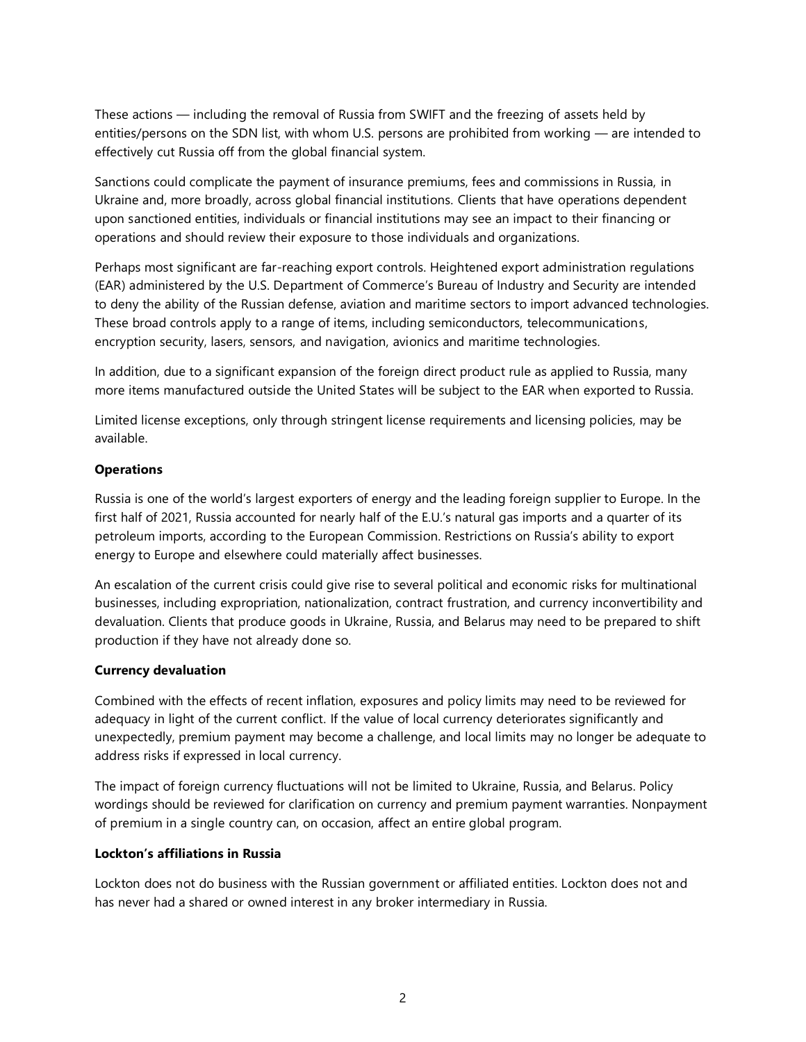These actions — including the removal of Russia from SWIFT and the freezing of assets held by entities/persons on the SDN list, with whom U.S. persons are prohibited from working — are intended to effectively cut Russia off from the global financial system.

Sanctions could complicate the payment of insurance premiums, fees and commissions in Russia, in Ukraine and, more broadly, across global financial institutions. Clients that have operations dependent upon sanctioned entities, individuals or financial institutions may see an impact to their financing or operations and should review their exposure to those individuals and organizations.

Perhaps most significant are far-reaching export controls. Heightened export administration regulations (EAR) administered by the U.S. Department of Commerce's Bureau of Industry and Security are intended to deny the ability of the Russian defense, aviation and maritime sectors to import advanced technologies. These broad controls apply to a range of items, including semiconductors, telecommunications, encryption security, lasers, sensors, and navigation, avionics and maritime technologies.

In addition, due to a significant expansion of the foreign direct product rule as applied to Russia, many more items manufactured outside the United States will be subject to the EAR when exported to Russia.

Limited license exceptions, only through stringent license requirements and licensing policies, may be available.

## **Operations**

Russia is one of the world's largest exporters of energy and the leading foreign supplier to Europe. In the first half of 2021, Russia accounted for nearly half of the E.U.'s natural gas imports and a quarter of its petroleum imports, according to the European Commission. Restrictions on Russia's ability to export energy to Europe and elsewhere could materially affect businesses.

An escalation of the current crisis could give rise to several political and economic risks for multinational businesses, including expropriation, nationalization, contract frustration, and currency inconvertibility and devaluation. Clients that produce goods in Ukraine, Russia, and Belarus may need to be prepared to shift production if they have not already done so.

#### **Currency devaluation**

Combined with the effects of recent inflation, exposures and policy limits may need to be reviewed for adequacy in light of the current conflict. If the value of local currency deteriorates significantly and unexpectedly, premium payment may become a challenge, and local limits may no longer be adequate to address risks if expressed in local currency.

The impact of foreign currency fluctuations will not be limited to Ukraine, Russia, and Belarus. Policy wordings should be reviewed for clarification on currency and premium payment warranties. Nonpayment of premium in a single country can, on occasion, affect an entire global program.

## **Lockton's affiliations in Russia**

Lockton does not do business with the Russian government or affiliated entities. Lockton does not and has never had a shared or owned interest in any broker intermediary in Russia.